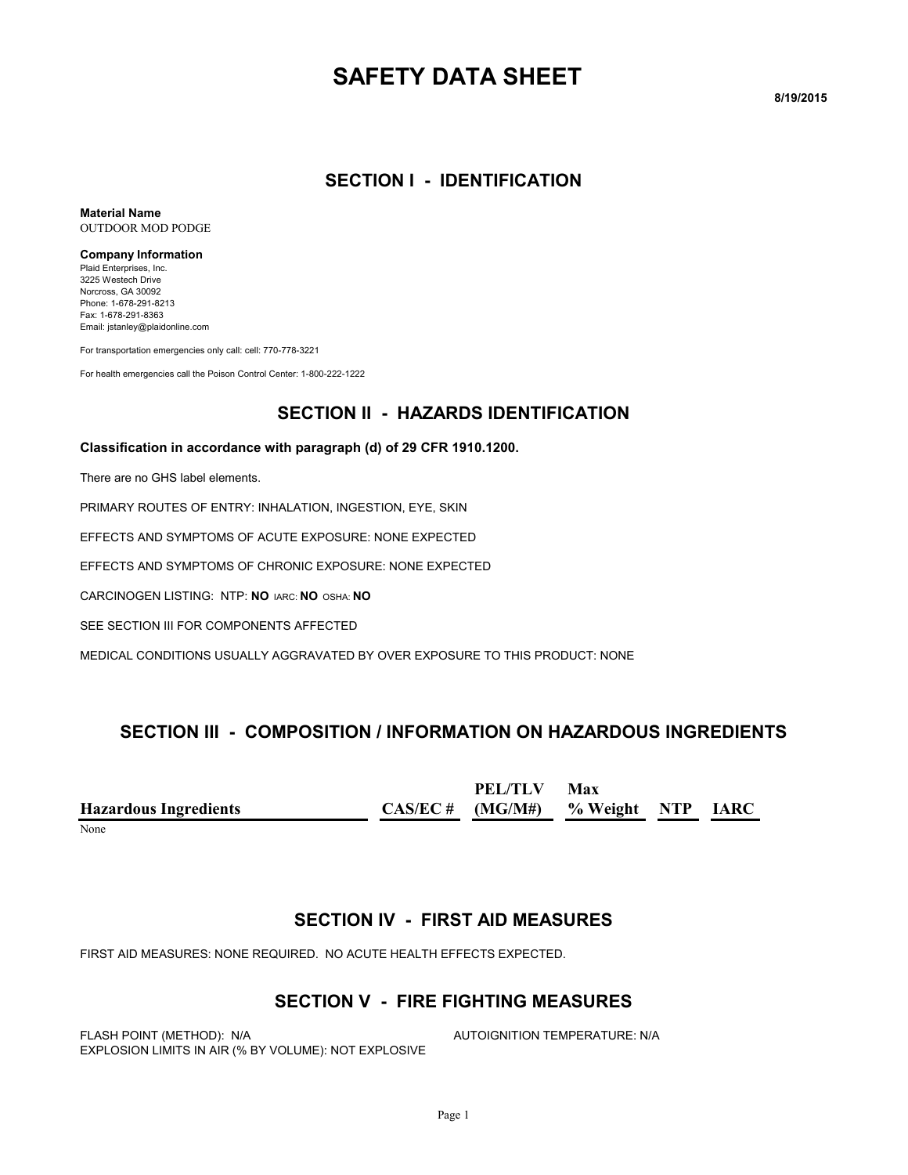# **SAFETY DATA SHEET**

**8/19/2015**

#### **SECTION I - IDENTIFICATION**

**Material Name** OUTDOOR MOD PODGE

#### **Company Information**

Plaid Enterprises, Inc. 3225 Westech Drive Norcross, GA 30092 Phone: 1-678-291-8213 Fax: 1-678-291-8363 Email: jstanley@plaidonline.com

For transportation emergencies only call: cell: 770-778-3221

For health emergencies call the Poison Control Center: 1-800-222-1222

#### **SECTION II - HAZARDS IDENTIFICATION**

#### **Classification in accordance with paragraph (d) of 29 CFR 1910.1200.**

There are no GHS label elements.

PRIMARY ROUTES OF ENTRY: INHALATION, INGESTION, EYE, SKIN

EFFECTS AND SYMPTOMS OF ACUTE EXPOSURE: NONE EXPECTED

EFFECTS AND SYMPTOMS OF CHRONIC EXPOSURE: NONE EXPECTED

CARCINOGEN LISTING: NTP: **NO** IARC: **NO** OSHA: **NO**

SEE SECTION III FOR COMPONENTS AFFECTED

MEDICAL CONDITIONS USUALLY AGGRAVATED BY OVER EXPOSURE TO THIS PRODUCT: NONE

#### **SECTION III - COMPOSITION / INFORMATION ON HAZARDOUS INGREDIENTS**

**Hazardous Ingredients CAS/EC # PEL/TLV (MG/M#) Max % Weight NTP IARC**

None when the contract of the contract of the contract of the contract of the contract of the contract of the contract of the contract of the contract of the contract of the contract of the contract of the contract of the

#### **SECTION IV - FIRST AID MEASURES**

FIRST AID MEASURES: NONE REQUIRED. NO ACUTE HEALTH EFFECTS EXPECTED.

#### **SECTION V - FIRE FIGHTING MEASURES**

FLASH POINT (METHOD): N/A **AUTOIGNITION TEMPERATURE: N/A** EXPLOSION LIMITS IN AIR (% BY VOLUME): NOT EXPLOSIVE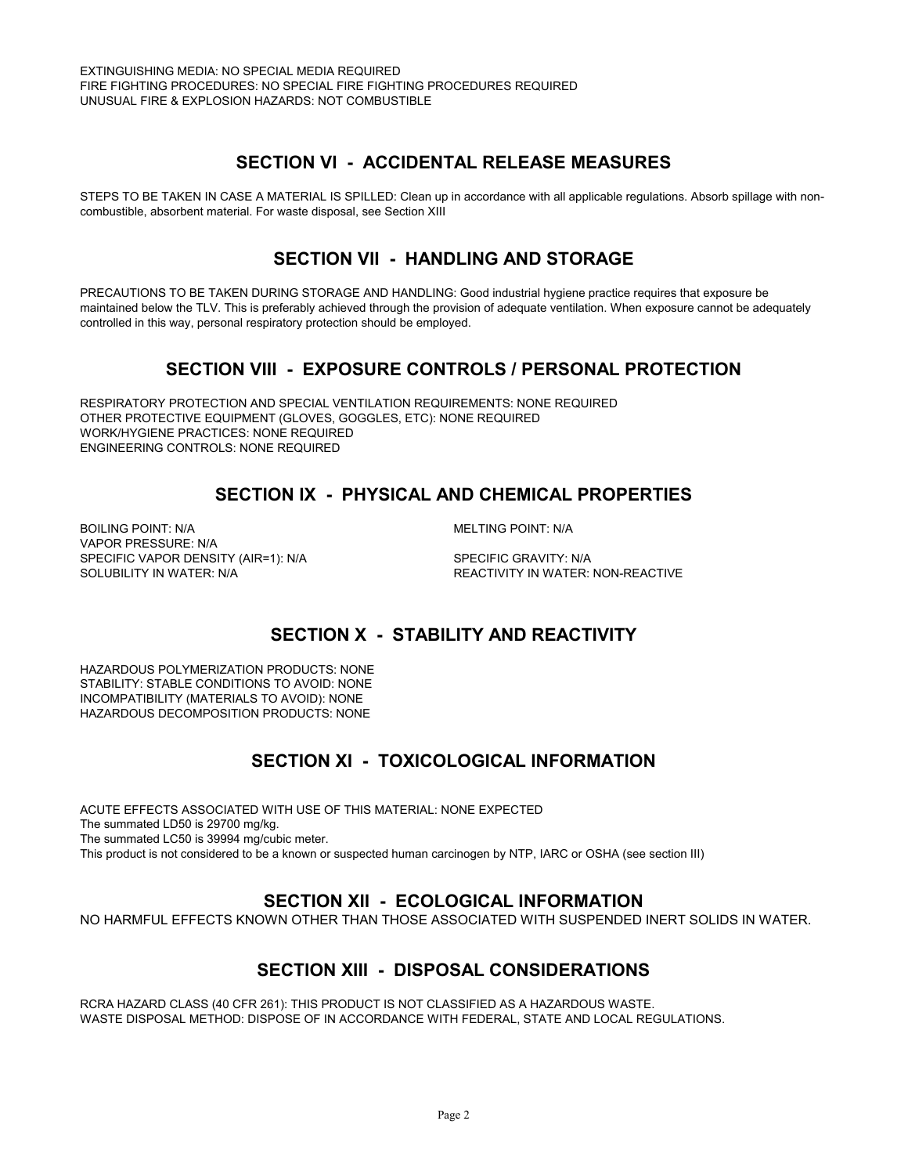### **SECTION VI - ACCIDENTAL RELEASE MEASURES**

STEPS TO BE TAKEN IN CASE A MATERIAL IS SPILLED: Clean up in accordance with all applicable regulations. Absorb spillage with noncombustible, absorbent material. For waste disposal, see Section XIII

### **SECTION VII - HANDLING AND STORAGE**

PRECAUTIONS TO BE TAKEN DURING STORAGE AND HANDLING: Good industrial hygiene practice requires that exposure be maintained below the TLV. This is preferably achieved through the provision of adequate ventilation. When exposure cannot be adequately controlled in this way, personal respiratory protection should be employed.

## **SECTION VIII - EXPOSURE CONTROLS / PERSONAL PROTECTION**

RESPIRATORY PROTECTION AND SPECIAL VENTILATION REQUIREMENTS: NONE REQUIRED OTHER PROTECTIVE EQUIPMENT (GLOVES, GOGGLES, ETC): NONE REQUIRED WORK/HYGIENE PRACTICES: NONE REQUIRED ENGINEERING CONTROLS: NONE REQUIRED

## **SECTION IX - PHYSICAL AND CHEMICAL PROPERTIES**

BOILING POINT: N/A **MELTING POINT: N/A** VAPOR PRESSURE: N/A SPECIFIC VAPOR DENSITY (AIR=1): N/A SPECIFIC GRAVITY: N/A

SOLUBILITY IN WATER: N/A **REACTIVITY IN WATER: NON-REACTIVE** 

## **SECTION X - STABILITY AND REACTIVITY**

HAZARDOUS POLYMERIZATION PRODUCTS: NONE STABILITY: STABLE CONDITIONS TO AVOID: NONE INCOMPATIBILITY (MATERIALS TO AVOID): NONE HAZARDOUS DECOMPOSITION PRODUCTS: NONE

## **SECTION XI - TOXICOLOGICAL INFORMATION**

ACUTE EFFECTS ASSOCIATED WITH USE OF THIS MATERIAL: NONE EXPECTED The summated LD50 is 29700 mg/kg. The summated LC50 is 39994 mg/cubic meter. This product is not considered to be a known or suspected human carcinogen by NTP, IARC or OSHA (see section III)

#### **SECTION XII - ECOLOGICAL INFORMATION**

NO HARMFUL EFFECTS KNOWN OTHER THAN THOSE ASSOCIATED WITH SUSPENDED INERT SOLIDS IN WATER.

#### **SECTION XIII - DISPOSAL CONSIDERATIONS**

RCRA HAZARD CLASS (40 CFR 261): THIS PRODUCT IS NOT CLASSIFIED AS A HAZARDOUS WASTE. WASTE DISPOSAL METHOD: DISPOSE OF IN ACCORDANCE WITH FEDERAL, STATE AND LOCAL REGULATIONS.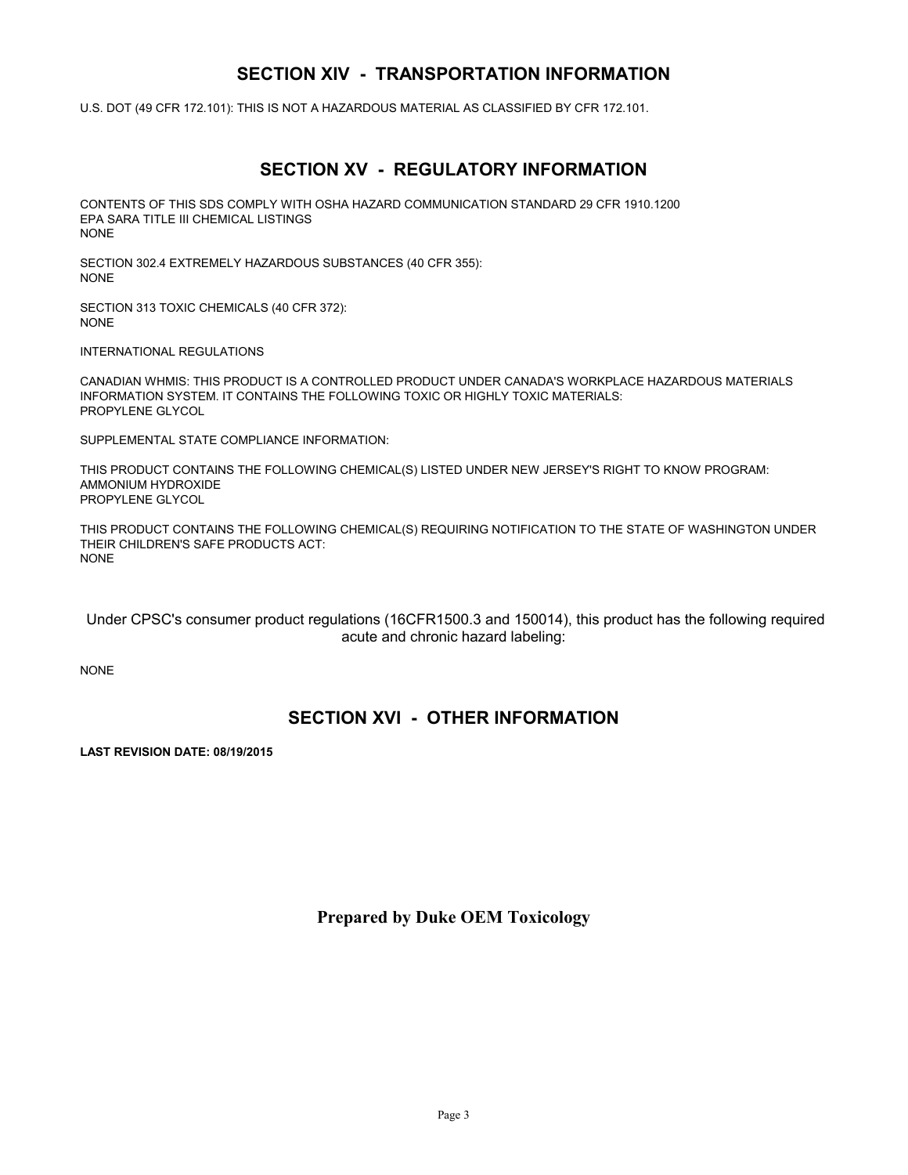#### **SECTION XIV - TRANSPORTATION INFORMATION**

U.S. DOT (49 CFR 172.101): THIS IS NOT A HAZARDOUS MATERIAL AS CLASSIFIED BY CFR 172.101.

## **SECTION XV - REGULATORY INFORMATION**

CONTENTS OF THIS SDS COMPLY WITH OSHA HAZARD COMMUNICATION STANDARD 29 CFR 1910.1200 EPA SARA TITLE III CHEMICAL LISTINGS NONE

SECTION 302.4 EXTREMELY HAZARDOUS SUBSTANCES (40 CFR 355): NONE

SECTION 313 TOXIC CHEMICALS (40 CFR 372): NONE

INTERNATIONAL REGULATIONS

CANADIAN WHMIS: THIS PRODUCT IS A CONTROLLED PRODUCT UNDER CANADA'S WORKPLACE HAZARDOUS MATERIALS INFORMATION SYSTEM. IT CONTAINS THE FOLLOWING TOXIC OR HIGHLY TOXIC MATERIALS: PROPYLENE GLYCOL

SUPPLEMENTAL STATE COMPLIANCE INFORMATION:

THIS PRODUCT CONTAINS THE FOLLOWING CHEMICAL(S) LISTED UNDER NEW JERSEY'S RIGHT TO KNOW PROGRAM: AMMONIUM HYDROXIDE PROPYLENE GLYCOL

THIS PRODUCT CONTAINS THE FOLLOWING CHEMICAL(S) REQUIRING NOTIFICATION TO THE STATE OF WASHINGTON UNDER THEIR CHILDREN'S SAFE PRODUCTS ACT: NONE

 Under CPSC's consumer product regulations (16CFR1500.3 and 150014), this product has the following required acute and chronic hazard labeling:

NONE

#### **SECTION XVI - OTHER INFORMATION**

**LAST REVISION DATE: 08/19/2015**

**Prepared by Duke OEM Toxicology**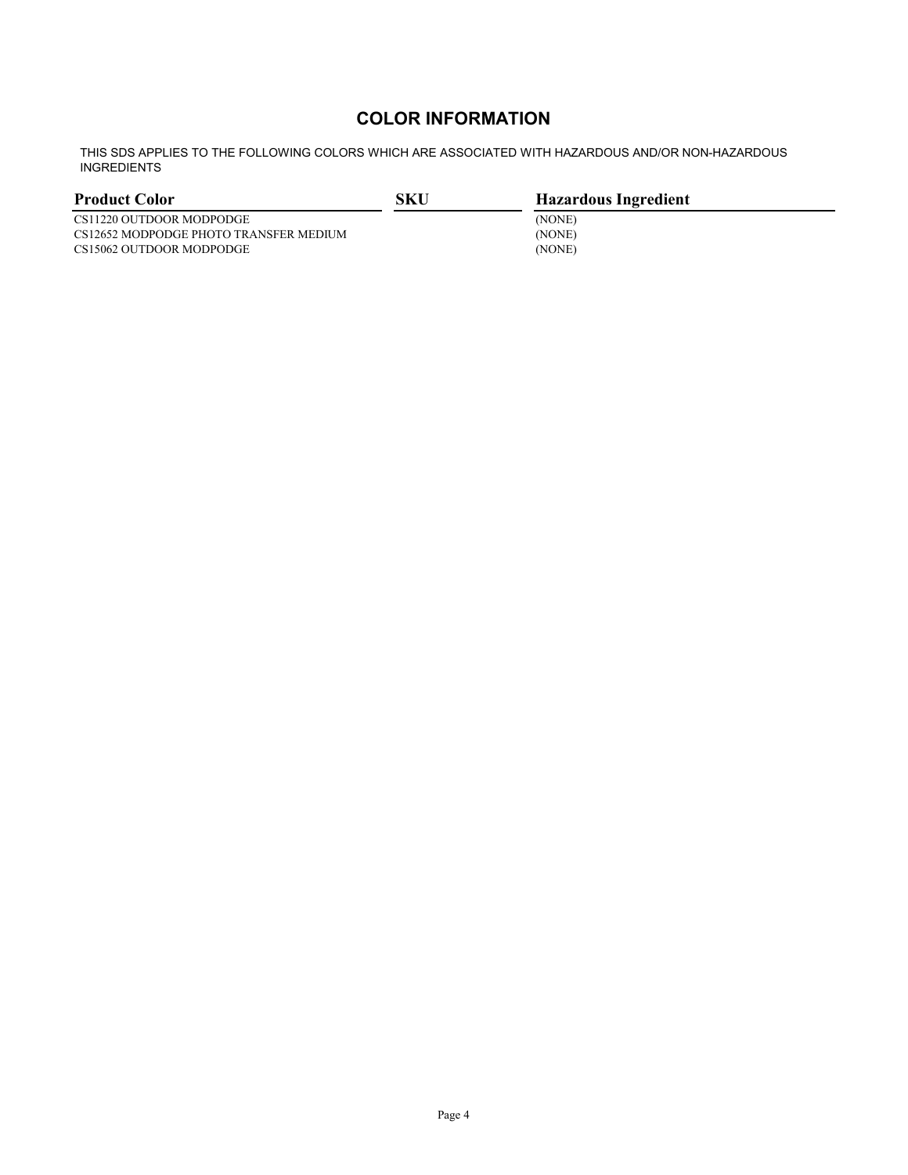## **COLOR INFORMATION**

THIS SDS APPLIES TO THE FOLLOWING COLORS WHICH ARE ASSOCIATED WITH HAZARDOUS AND/OR NON-HAZARDOUS INGREDIENTS

| <b>Product Color</b>                   | SKU | <b>Hazardous Ingredient</b> |
|----------------------------------------|-----|-----------------------------|
| CS11220 OUTDOOR MODPODGE               |     | (NONE)                      |
| CS12652 MODPODGE PHOTO TRANSFER MEDIUM |     | (NONE)                      |
| CS15062 OUTDOOR MODPODGE               |     | (NONE)                      |